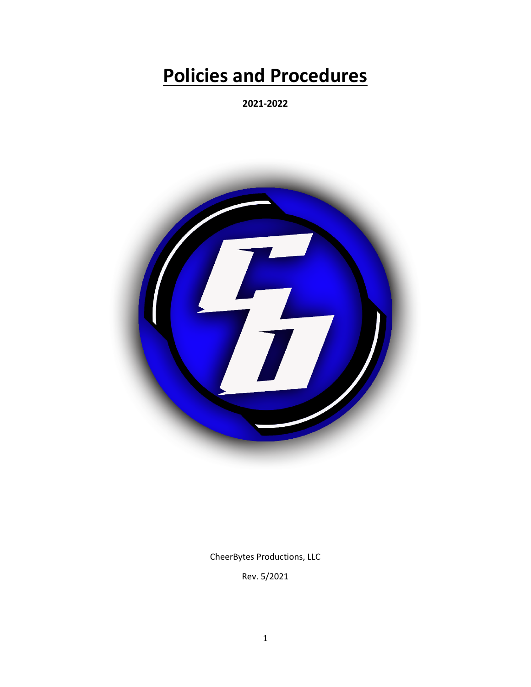# **Policies and Procedures**

**2021-2022**



CheerBytes Productions, LLC

Rev. 5/2021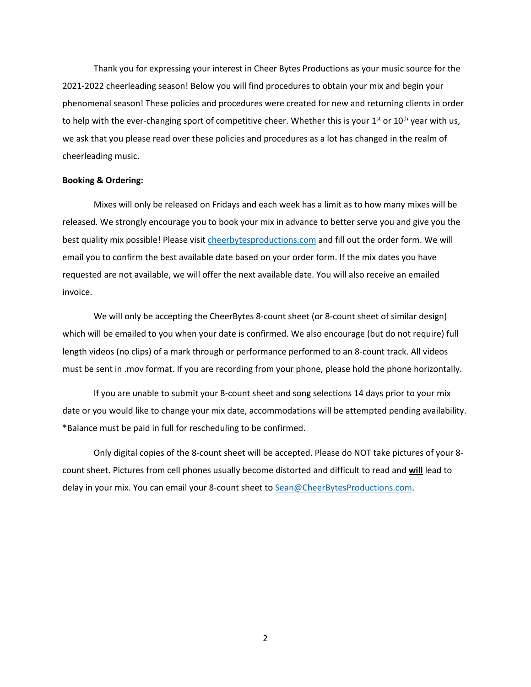Thank you for expressing your interest in Cheer Bytes Productions as your music source for the 2021-2022 cheerleading season! Below you will find procedures to obtain your mix and begin your phenomenal season! These policies and procedures were created for new and returning clients in order to help with the ever-changing sport of competitive cheer. Whether this is your  $1<sup>st</sup>$  or  $10<sup>th</sup>$  year with us, we ask that you please read over these policies and procedures as a lot has changed in the realm of cheerleading music.

#### **Booking & Ordering:**

Mixes will only be released on Fridays and each week has a limit as to how many mixes will be released. We strongly encourage you to book your mix in advance to better serve you and give you the best quality mix possible! Please visit cheerbytesproductions.com and fill out the order form. We will email you to confirm the best available date based on your order form. If the mix dates you have requested are not available, we will offer the next available date. You will also receive an emailed invoice.

We will only be accepting the CheerBytes 8-count sheet (or 8-count sheet of similar design) which will be emailed to you when your date is confirmed. We also encourage (but do not require) full length videos (no clips) of a mark through or performance performed to an 8-count track. All videos must be sent in .mov format. If you are recording from your phone, please hold the phone horizontally.

If you are unable to submit your 8-count sheet and song selections 14 days prior to your mix date or you would like to change your mix date, accommodations will be attempted pending availability. \*Balance must be paid in full for rescheduling to be confirmed.

Only digital copies of the 8-count sheet will be accepted. Please do NOT take pictures of your 8 count sheet. Pictures from cell phones usually become distorted and difficult to read and **will** lead to delay in your mix. You can email your 8-count sheet to Sean@CheerBytesProductions.com.

2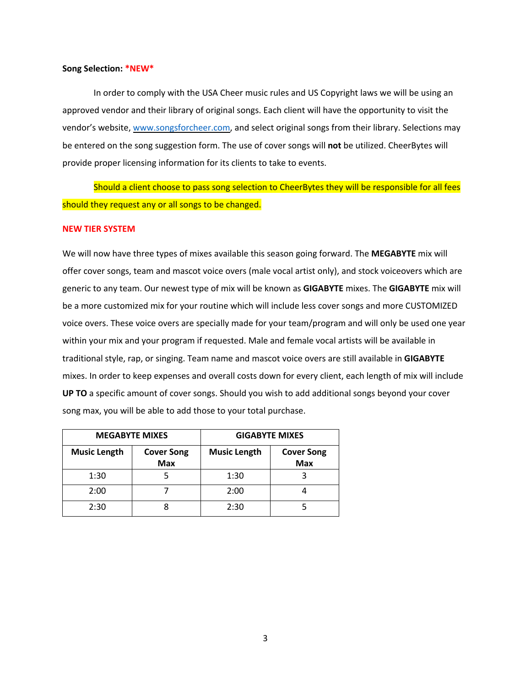#### **Song Selection: \*NEW\***

In order to comply with the USA Cheer music rules and US Copyright laws we will be using an approved vendor and their library of original songs. Each client will have the opportunity to visit the vendor's website, www.songsforcheer.com, and select original songs from their library. Selections may be entered on the song suggestion form. The use of cover songs will **not** be utilized. CheerBytes will provide proper licensing information for its clients to take to events.

Should a client choose to pass song selection to CheerBytes they will be responsible for all fees should they request any or all songs to be changed.

#### **NEW TIER SYSTEM**

We will now have three types of mixes available this season going forward. The **MEGABYTE** mix will offer cover songs, team and mascot voice overs (male vocal artist only), and stock voiceovers which are generic to any team. Our newest type of mix will be known as **GIGABYTE** mixes. The **GIGABYTE** mix will be a more customized mix for your routine which will include less cover songs and more CUSTOMIZED voice overs. These voice overs are specially made for your team/program and will only be used one year within your mix and your program if requested. Male and female vocal artists will be available in traditional style, rap, or singing. Team name and mascot voice overs are still available in **GIGABYTE** mixes. In order to keep expenses and overall costs down for every client, each length of mix will include **UP TO** a specific amount of cover songs. Should you wish to add additional songs beyond your cover song max, you will be able to add those to your total purchase.

| <b>MEGABYTE MIXES</b> |                                 | <b>GIGABYTE MIXES</b> |                                 |
|-----------------------|---------------------------------|-----------------------|---------------------------------|
| <b>Music Length</b>   | <b>Cover Song</b><br><b>Max</b> | <b>Music Length</b>   | <b>Cover Song</b><br><b>Max</b> |
| 1:30                  |                                 | 1:30                  |                                 |
| 2:00                  |                                 | 2:00                  |                                 |
| 2:30                  |                                 | 2:30                  |                                 |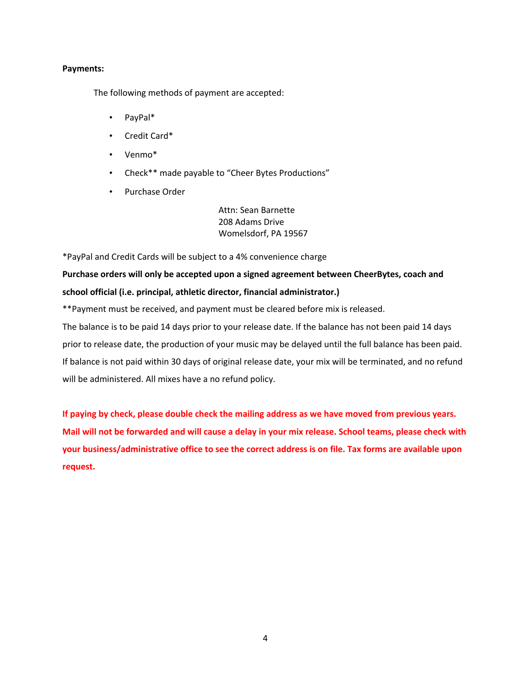## **Payments:**

The following methods of payment are accepted:

- PayPal\*
- Credit Card\*
- Venmo\*
- Check\*\* made payable to "Cheer Bytes Productions"
- Purchase Order

Attn: Sean Barnette 208 Adams Drive Womelsdorf, PA 19567

\*PayPal and Credit Cards will be subject to a 4% convenience charge

# **Purchase orders will only be accepted upon a signed agreement between CheerBytes, coach and school official (i.e. principal, athletic director, financial administrator.)**

\*\*Payment must be received, and payment must be cleared before mix is released.

The balance is to be paid 14 days prior to your release date. If the balance has not been paid 14 days prior to release date, the production of your music may be delayed until the full balance has been paid. If balance is not paid within 30 days of original release date, your mix will be terminated, and no refund will be administered. All mixes have a no refund policy.

**If paying by check, please double check the mailing address as we have moved from previous years.** Mail will not be forwarded and will cause a delay in your mix release. School teams, please check with **your business/administrative office to see the correct address is on file. Tax forms are available upon request.**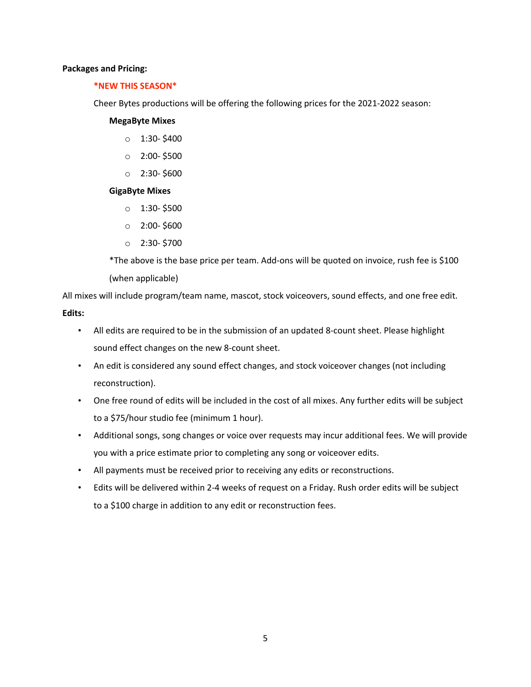#### **Packages and Pricing:**

## **\*NEW THIS SEASON\***

Cheer Bytes productions will be offering the following prices for the 2021-2022 season:

#### **MegaByte Mixes**

- $0 1:30- $400$
- $O$  2:00-\$500
- $0$  2:30- \$600

# **GigaByte Mixes**

- $0 1:30 $500$
- $0 2:00 $600$
- $O$  2:30-\$700

\*The above is the base price per team. Add-ons will be quoted on invoice, rush fee is \$100 (when applicable)

All mixes will include program/team name, mascot, stock voiceovers, sound effects, and one free edit. **Edits:**

- All edits are required to be in the submission of an updated 8-count sheet. Please highlight sound effect changes on the new 8-count sheet.
- An edit is considered any sound effect changes, and stock voiceover changes (not including reconstruction).
- One free round of edits will be included in the cost of all mixes. Any further edits will be subject to a \$75/hour studio fee (minimum 1 hour).
- Additional songs, song changes or voice over requests may incur additional fees. We will provide you with a price estimate prior to completing any song or voiceover edits.
- All payments must be received prior to receiving any edits or reconstructions.
- Edits will be delivered within 2-4 weeks of request on a Friday. Rush order edits will be subject to a \$100 charge in addition to any edit or reconstruction fees.